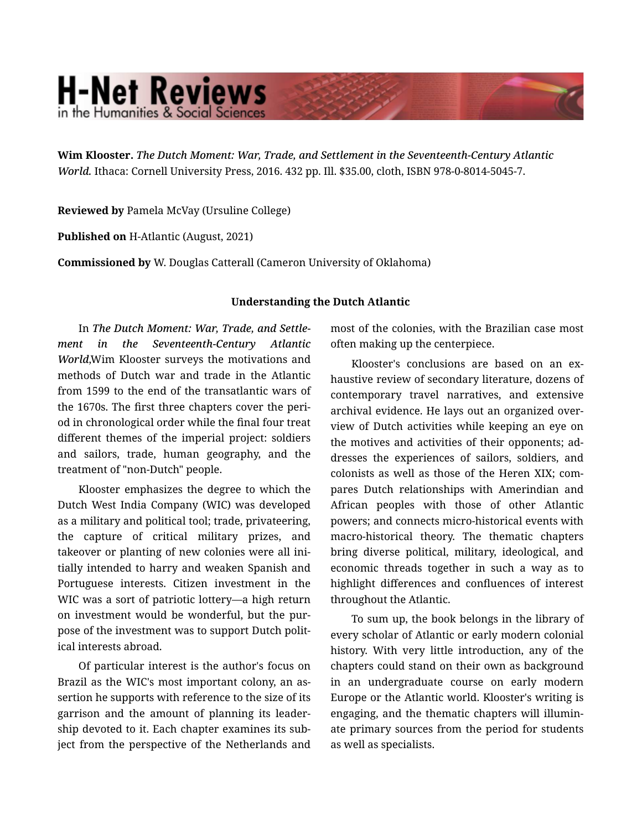## **H-Net Reviews** in the Humanities & Social Scienc

Wim Klooster. *The Dutch Moment: War, Trade, and Settlement in the Seventeenth-Century Atlantic World.* Ithaca: Cornell University Press, 2016. 432 pp. Ill. \$35.00, cloth, ISBN 978-0-8014-5045-7.

Reviewed by Pamela McVay (Ursuline College)

Published on H-Atlantic (August, 2021)

Commissioned by W. Douglas Catterall (Cameron University of Oklahoma)

## Understanding the Dutch Atlantic

In *The Dutch Moment: War, Trade, and Settle‐ ment in the Seventeenth-Century Atlantic World*,Wim Klooster surveys the motivations and methods of Dutch war and trade in the Atlantic from 1599 to the end of the transatlantic wars of the 1670s. The first three chapters cover the peri‐ od in chronological order while the final four treat different themes of the imperial project: soldiers and sailors, trade, human geography, and the treatment of "non-Dutch" people.

Klooster emphasizes the degree to which the Dutch West India Company (WIC) was developed as a military and political tool; trade, privateering, the capture of critical military prizes, and takeover or planting of new colonies were all ini‐ tially intended to harry and weaken Spanish and Portuguese interests. Citizen investment in the WIC was a sort of patriotic lottery—a high return on investment would be wonderful, but the pur‐ pose of the investment was to support Dutch polit‐ ical interests abroad.

Of particular interest is the author's focus on Brazil as the WIC's most important colony, an as‐ sertion he supports with reference to the size of its garrison and the amount of planning its leader‐ ship devoted to it. Each chapter examines its sub‐ ject from the perspective of the Netherlands and

most of the colonies, with the Brazilian case most often making up the centerpiece.

Klooster's conclusions are based on an ex‐ haustive review of secondary literature, dozens of contemporary travel narratives, and extensive archival evidence. He lays out an organized over‐ view of Dutch activities while keeping an eye on the motives and activities of their opponents; ad‐ dresses the experiences of sailors, soldiers, and colonists as well as those of the Heren XIX; com‐ pares Dutch relationships with Amerindian and African peoples with those of other Atlantic powers; and connects micro-historical events with macro-historical theory. The thematic chapters bring diverse political, military, ideological, and economic threads together in such a way as to highlight differences and confluences of interest throughout the Atlantic.

To sum up, the book belongs in the library of every scholar of Atlantic or early modern colonial history. With very little introduction, any of the chapters could stand on their own as background in an undergraduate course on early modern Europe or the Atlantic world. Klooster's writing is engaging, and the thematic chapters will illumin‐ ate primary sources from the period for students as well as specialists.